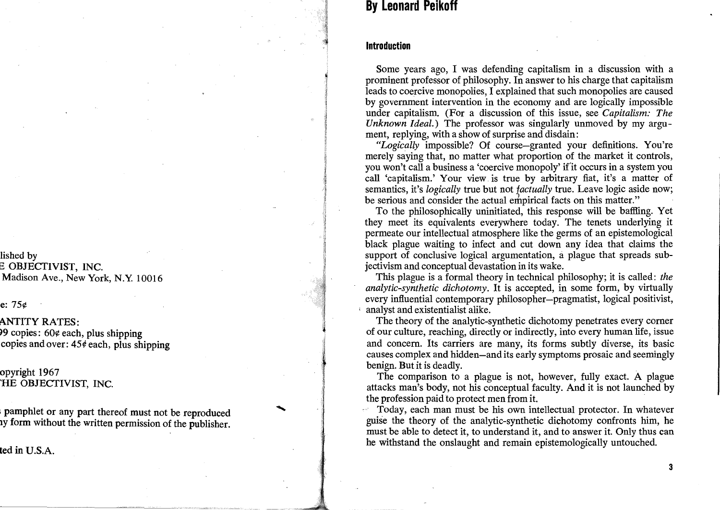lished by E OBJECTIVIST, INC. Madison Ave., New York, N.Y. 10016

e:  $75¢$ 

ANTITY RATES:  $99$  copies:  $60¢$  each, plus shipping copies and over: 45¢ each, plus shipping

~opyright 1967 ['HE OBJECTIVIST, INC.

• pamphlet or any part thereof must not be reproduced ny form without the written permission of the publisher.

lted in U.S.A.

# **By Leonard Peikoff**

# **Introduction**

Some years ago, I was defending capitalism in a discussion with a prominent professor of philosophy. In answer to his charge that capitalism leads to coercive monopolies, I explained that such monopolies are caused by government intervention in the economy and are logically impossible under capitalism. (For a discussion of this issue, see *Capitalism: The Unknown Ideal.)* The professor was singularly unmoved by my argument, replying, with a show of surprise and disdain:

*"Logically* impossible? Of course-granted your definitions. You're merely saying that, no matter what proportion of the market it controls, you won't call a business a 'coercive monopoly' if it occurs in a system you call 'capitalism.' Your view is true by arbitrary fiat, it's a matter of semantics, it's *logically* true but not *factually* true. Leave logic aside now; be serious and consider the actual erhpirical facts on this matter."

To the philosophically uninitiated, this response will be baffling. Yet they meet its equivalents everywhere today. The tenets underlying it permeate our intellectual atmosphere like the germs of an epistemological black plague waiting to infect and cut down any idea that claims the support of conclusive logical argumentation, a plague that spreads subjectivism and conceptual devastation in its wake.

This plague is a formal theory in technical philosophy; it is called: *the analytic-synthetic dichotomy.* It is accepted, in some form, by virtually every influential contemporary philosopher-pragmatist, logical positivist, analyst and existentialist alike.

The theory of the analytic-synthetic dichotomy penetrates every corner of our culture, reaching, directly or indirectly, into every human life, issue and concern. Its carriers are many, its forms subtly diverse, its basic causes complex and hidden-and its early symptoms prosaic and seemingly benign. But it is deadly.

The comparison to a plague is not, however, fully exact. A plague attacks man's body, not his conceptual faculty. And it is not launched by the profession paid to protect men from it.

Today, each man must be his own intellectual protector. In whatever guise the theory of the analytic-synthetic dichotomy confronts him, he must be able to detect it, to understand it, and to answer it. Only thus can he withstand the onslaught and remain epistemologically untouched.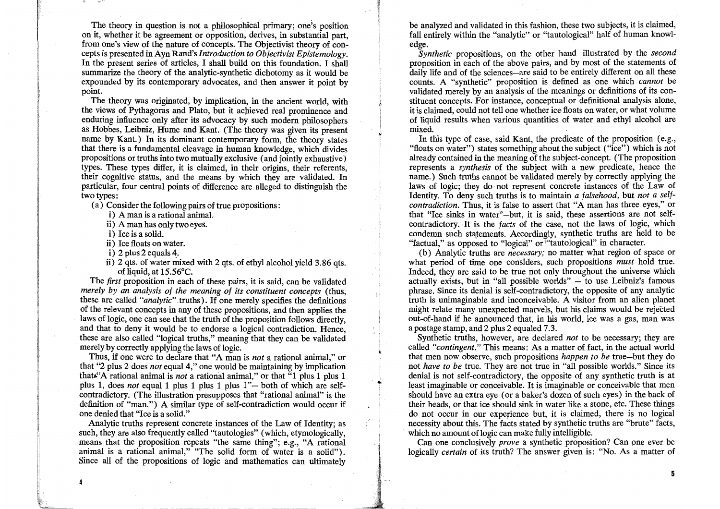The theory in question is not a philosophical primary; one's position on it, whether it be agreement or opposition, derives, in substantial part, from one's view of the nature of concepts. The Objectivist theory of concepts is presented in Ayn Rand's *Introduction to Objectivist Epistemology.*  In the present series of articles, I shall build on this foundation. I shall summarize the theory of the analytic-synthetic dichotomy as it would be expounded by its contemporary advocates, and then answer it point by point.

The theory was originated, by implication, in the ancient world, with the views of Pythagoras and Plato, but it achieved real prominence and enduring influence only after its advocacy by such modem philosophers as Hobbes, Leibniz, Hume and Kant. (The theory was given its present name by Kant.) In its dominant contemporary form, the theory states that there is a fundamental cleavage in human knowledge, which divides propositions or truths into two mutually exclusive (and jointly exhaustive) types. These types differ, it is claimed, in their origins, their referents, their cognitive status, and the means by which they are validated. In particular, four central points of difference are alleged to distinguish the two types:

( a) Consider the following pairs of true propositions:

i) A man is a rational animal.

ii) A man has only two eyes.

i) Ice is a solid.

ii) Ice floats on water.

i) 2 plus 2 equals 4.

ii) 2 qts. of water mixed with 2 qts. of ethyl alcohol yield 3.86 qts. of liquid, at  $15.56^{\circ}$ C.

The *first* proposition in each of these pairs, it is said, can be validated *merely by an analysis of the meaning of its constituent concepts* (thus, these are called *"analytic"* truths). If one merely specifies the definitions of the relevant concepts in any of these propositions, and then applies the laws of logic, one can see that the truth of the proposition follows directly, and that to deny it would be to endorse a logical contradiction. Hence, these are also called "logical truths," meaning that they can be validated merely by correctly applying the laws of logic.

Thus, if one were to declare that "A man is *not* a rational animal," or that "2 plus 2 does *not* equal 4," one would be maintaining by implication thats A rational animal is *not* a rational animal," or that "1 plus 1 plus 1 plus 1, does *not* equal 1 plus 1 plus 1 plus 1"- both of which are selfcontradictory. (The illustration presupposes that "rational animal" is the definition of "man.") A similar type of self-contradiction would occur if one denied that "Ice is a solid. "

Analytic truths represent concrete instances of the Law of Identity; as such, they are also frequently called "tautologies" (which, etymologically, means that the proposition repeats "the same thing"; e.g., "A rational animal is a rational animal," "The solid form of water is a solid"). Since all of the propositions of logic and mathematics can ultimately be analyzed and validated in this fashion, these two subjects, it is claimed, fall entirely within the "analytic" or "tautological" half of human knowledge. *Synthetic* propositions, on the other hand-illustrated by the *second* 

proposition in each of the above pairs, and by most of the statements of daily life and of the sciences-are said to be entirely different on all these counts. A "synthetic" proposition is defined as one which *cannot* be validated merely by an analysis of the meanings or definitions of its constituent concepts. For instance, conceptual or definitional analysis alone, it is claimed, could not tell one whether ice floats on water, or what volume of liquid results when various quantities of water and ethyl alcohol are mixed.

In this type of case, said Kant, the predicate of the proposition (e.g., "floats on water") states something about the subject ("ice") which is not already contained in the meaning of the subject-concept. (The proposition represents a *synthesis* of the subject with a new predicate, hence the name.) Such truths cannot be validated merely by correctly applying the laws of logic; they do not represent concrete instances of the Law of Identity. To deny such truths is to maintain *a falsehood,* but *not a selfcontradiction.* Thus, it is false to assert that "A man has three eyes," or that "Ice sinks in water" -but, it is said, these assertions are not selfcontradictory. It is the *facts* of the case, not the laws of logic, which condemn such statements. Accordingly, synthetic truths are held to be "factual," as opposed to "logical" or "tautological" in character.

(b) Analytic truths are *necessary;* no matter what region of space or what period of time one considers, such propositions *must* hold true. Indeed, they are said to be true not only throughout the universe which actually exists, but in "all possible worlds"  $-$  to use Leibniz's famous phrase. Since its denial is self-contradictory, the opposite of any analytic truth is unimaginable and inconceivable. A visitor from an alien planet might relate many unexpected marvels, but his claims would be rejected out-of-hand if he announced that, in his world, ice was a gas, man was a postage stamp, and 2 plus 2 equaled 7.3.

l

.. I

Synthetic truths, however, are declared *not* to be necessary; they are called *"contingent."* This means: As a matter of fact, in the actual world that men now observe, such propositions *happen to be* true-but they do not *have to be* true. They are not true in "all possible worlds." Since its denial is not self-contradictory, the opposite of any synthetic truth is at least imaginable or conceivable. It is imaginable or conceivable that men should have an extra eye (or a baker's dozen of such eyes) in the back of their heads, or that ice should sink in water like a stone, etc. These things do not occur in our experience but, it is claimed, there is no logical necessity about this. The facts stated by synthetic truths are "brute" facts, which no amount of logic can make fully intelligible.

Can one conclusively *prove* a synthetic proposition? Can one ever be logically *certain* of its truth? The answer given is: "No. As a matter of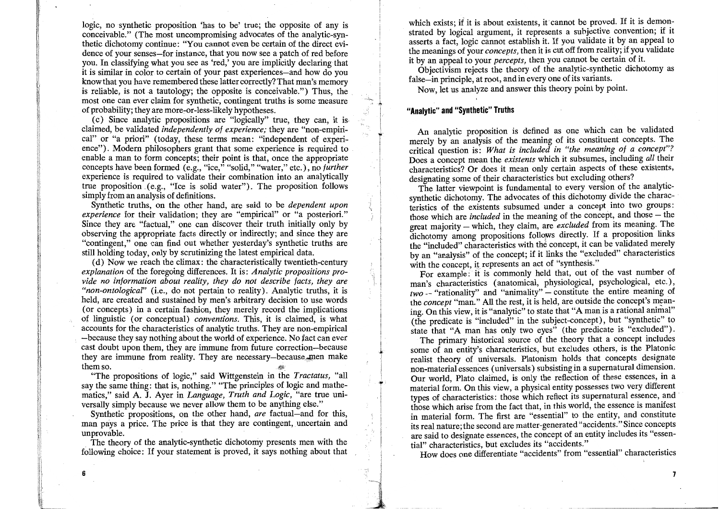logic, no synthetic proposition 'has to be' true; the opposite of any is conceivable." (The most uncompromising advocates of the analytic-synthetic dichotomy continue: "You cannot even be certain of the direct evidence of your senses-for instance, that you now see a patch of red before you. In classifying what you see as 'red,' you are implicitly declaring that it is similar in color to certain of your past experiences-and how do you know that you have remembered these latter correctly? That man's memory is reliable, is not a tautology; the opposite is conceivable.") Thus, the most one can ever claim for synthetic, contingent truths is some measure of probability; they are more~or-Iess-likely hypotheses.

 $(c)$  Since analytic propositions are "logically" true, they can, it isclaimed, be validated *independently of experience;* they are "non-empirical" or "a priori" (today, these terms mean: "independent of experience"). Modem philosophers grant that some experience is required to enable a man to form concepts; their point is that, once the appropriate concepts have been formed (e.g., "ice," "solid," "water," etc.), no *further*  experience is required to validate their combination into an analytically true proposition (e.g., "Ice is solid water"). The proposition follows simply from an analysis of definitions.

Synthetic truths, on the other hand, are said to be *dependent upon experience* for their validation; they are "empirical" or "a posteriori." Since they are "factual," one can discover their truth initially only by observing the appropriate facts directly or indirectly; and since they are "contingent," one can find out whether yesterday'S synthetic truths are still holding today, only by scrutinizing the latest empirical data.

(d) Now we reach the climax: the characteristically twentieth-century *explanation* of the foregoing differences. It is: *Analytic propositions provide no information about reality, they do not describe facts, they are "non-ontological"* (i.e., do not pertain to reality). Analytic truths, it is held, are created and sustained by men's arbitrary decision to use words (or concepts) in a certain fashion, they merely record the implications of linguistic (or conceptual) *conventions.* This, it is claimed, is what accounts for the characteristics of analytic truths. They are non-empirical  $-\theta$  because they say nothing about the world of experience. No fact can ever cast doubt upon them, they are immune from future correction-because they are immune from reality. They are necessary—because men make them so.

"The propositions of logic," said Wittgenstein in the *Tractatus,* "all say the same thing: that is, nothing." "The principles of logic and mathematics," said A. J. Ayer in *Language, Truth and Logic,* "are true universally simply because we never allow them to be anything else."

Synthetic propositions, on the other hand, *are* factual-and for this, man pays a price. The price is that they are contingent, uncertain and unprovable.

\_ The theory of the analytic-synthetic dichotomy presents men with the following choice: If your statement is proved, it says nothing about that

which exists; if it is about existents, it cannot be proved. If it is demonstrated by logical argument, it represents a subjective convention; if it asserts a fact, logic cannot establish it. If you validate it by an appeal to the meanings of your *concepts*, then it is cut off from reality; if you validate it by an appeal to your *percepts,* then you cannot be certam of It.

Objectivism rejects the theory of the analytic-synthetic dichotomy as false-in principle, at root, and in every one of its variants.

Now, let us analyze and answer this theory point by point.

## "**Analytic" and "Synthetic" Truths**

An analytic proposition is defined as one which can be validated merely by an analysis of the meaning of its constituent concepts. The critical question is: *What is included in "the meaning of a concept"?* Does a concept mean the *existents* which it subsumes, including all their characteristics? Or does it mean only certain aspects of these existents, designating some of their characteristics but excluding others?

The latter viewpoint is fundamental to every version of the analyticsynthetic dichotomy. The advocates of this dichotomy divide the characteristics of the existents subsumed under a concept into two groups: those which are *included* in the meaning of the concept, and those - the great majority - which, they claim, are *excluded* from its meaning. The dichotomy among propositions follows directly. If a proposition links the "included" characteristics with the concept, it can be validated merely by an «analysis" of the concept; if it links the "excluded" characteristics with the concept, it represents an act of "synthesis."

For example: it is commonly held that, out of the vast number of man's characteristics (anatomical, physiological, psychological, etc.),  $two$  - "rationality" and "animality" - constitute the entire meaning of the *concept* "man." All the rest, it is held, are outside the concept's meaning. On this view, it is "analytic" to state that "A man is a rational animal" (the predicate is "included" in the subject-concept), but "synthetic" to state that "A man has only two eyes" (the predicate is "excluded").

The primary historical source of the theory that a concept includes some of an entity's characteristics, but excludes others, is the Platonic realist theory of universals. Platonism holds that concepts designate non-material essences (universals) subsisting in a supernatural dimension. Our world, Plato claimed, is only the reflection of these essences, in a material form. On this view, a physical entity possesses two very different types of characteristics: those which reflect its supernatural essence, and those which arise from the fact that, in this world, the essence is manifest in material form. The first are "essential" to the entity, and constitute its real nature; the second are matter-generated "accidents." Since concepts are said to designate essences, the concept of an entity includes its "essential" characteristics, but excludes its "accidents."

How does one differentiate "accidents" from "essential" characteristics

6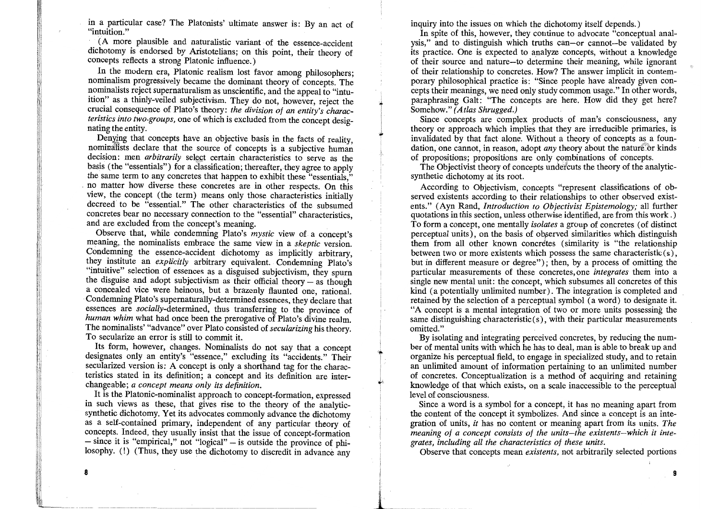in a particular case? The Platonists' ultimate answer is: By an act of "intuition. "

(A more plausible and naturalistic variant of the essence-accident dichotomy is endorsed by Aristotelians; on this point, their theory of concepts reflects a strong Platonic influence.)

In the modern era, Platonic realism lost favor among philosophers; nominalism progressively became the dominant theory of concepts. The nominalists reject supernaturalism as unscientific, and the appeal to "intuition" as a thinly-veiled subjectivism. They do not, however, reject the crucial consequence of Plato's theory: *the division of an entity's characteristics into two.groups,* one of which is excluded from the concept designating the entity.

Denying that concepts have an objective basis in the facts of reality, nominalists declare that the source of concepts is a subjective human decision: men *arbitrarily* select certain characteristics to serve as the basis (the "essentials") for a classification; thereafter, they agree to apply the same term to any concretes that happen to exhibit these "essentials," no matter how diverse these concretes are in other respects. On this view, the concept (the term) means only those characteristics initially decreed to be "essential." The other characteristics of the subsumed concretes bear no necessary connection to the "essential" characteristics, and are excluded from the concept's meaning.

Observe that, while condemning Plato's *mystic* view of a concept's meaning, the nominalists embrace the same view in a *skeptic* version. Condemning the essence-accident dichotomy as implicitly arbitrary, they institute an *explicitly* arbitrary equivalent. Condemning Plato's "intuitive" selection of essences as a disguised subjectivism, they spurn the disguise and adopt subjectivism as their official theory  $-$  as though a concealed vice were heinous, but a brazenly flaunted one, rational. Condemning Plato's supernaturally-determined essences, they declare that essences are *socially-determined,* thus transferring to the province of *human whim* what had once been the prerogative of Plato's divine realm. The nominalists' "advance" over Plato consisted of *secularizing* his theory. To secularize an error is still to commit it.

Its form, however, changes. Nominalists do not say that a concept designates only an entity's "essence," excluding its "accidents." Their secularized version is: A concept is only a shorthand tag for the characteristics stated in its definition; a concept and its definition are interchangeable; *a concept means only its definition.* 

It is the Platonic-nominalist approach to concept-formation, expressed in such views as these, that gives rise to the theory of the analyticsynthetic dichotomy. Yet its advocates commonly advance the dichotomy as a self-contained primary, independent of any particular theory of concepts. Indeed, they usually insist that the issue of concept-formation  $-$  since it is "empirical," not "logical"  $-$  is outside the province of philosophy. (!) (Thus, they use the dichotomy to discredit in advance any

inquiry into the issues on which the dichotomy itself depends.)

 $\mathbf{L}$ 

|<br>|<br>|

In spite of this, however, they continue to advocate "conceptual analysis," and to distinguish which truths can-or cannot-be validated by its practice. One is expected to analyze concepts, without a knowledge of their source and nature-to determine their meaning, while ignorant of their relationship to concretes. How? The answer implicit in contemporary philosophical practice is: "Since people have already given concepts their meanings, we need only study common usage." In other words, paraphrasing Galt: "The concepts are here. How did they get here? Somehow." *(Atlas Shrugged.)* 

Since concepts are complex products of man's consciousness, any theory or approach which implies that they are irreducible primaries, is invalidated by that fact alone. Without a theory of concepts as a foundation, one cannot, in reason, adopt *any* theory about the nature or kinds of propositions; propositions are only combinations of concepts.

The Objectivist theory of concepts undercuts the theory of the analyticsynthetic dichotomy at its root.

According to Objectivism, concepts "represent classifications of observed existents according to their relationships to other observed existents." (Ayn Rand, *Introduction to Objectivist Epistemology;* all further quotations in this section, unless otherwise identified, are from this work.) To form a concept, one mentally *isolates* a group of concretes (of distinct perceptual units), on the basis of observed similarities which distinguish them from all other known concretes (similarity is "the relationship between two or more existents which possess the same characteristic (s) , but in different measure or degree"); then, by a process of omitting the particular measurements of these concretes, one *integrates* them into a single new mental unit: the concept, which subsumes all concretes of this kind (a potentially unlimited number). The integration is completed and retained by the selection of a perceptual symbol (a word) to designate it. "A concept is a mental integration of two or more units possessing the same distinguishing characteristic (s), with their particular measurements omitted."

By isolating and integrating perceived concretes, by reducing the number of mental units with which he has to deal, man is able to break up and organize his perceptual field, to engage in specialized study, and to retain an unlimited amount of information pertaining to an unlimited number of concretes. Conceptualization is a method of acquiring and retaining knowledge of that which exists, on a scale inaccessible to the perceptual level of consciousness.

Since a word is a symbol for a concept, it has no meaning apart from the content of the concept it symbolizes. And since a concept is an integration of units, *it* has no content or meaning apart from its units. *The meaning of a concept consists of the units-the existents-which it integrates, including all the characteristics of these units.* 

Observe that concepts mean *existents,* not arbitrarily selected portions

9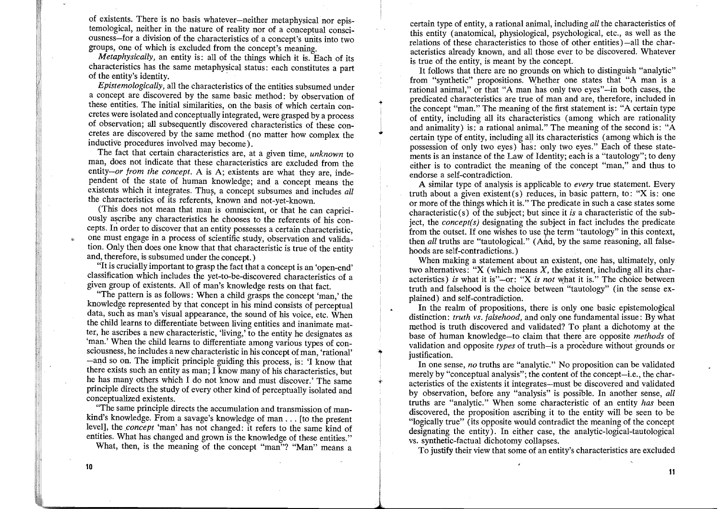of existents. There is no basis whatever-neither metaphysical nor epistemological, neither in the nature of reality nor of a conceptual consciousness-for a division of the characteristics of a concept's units into two groups, one of which is excluded from the concept's meaning.

*Metaphysically,* an entity is: all of the things which it is. Each of its characteristics has the same metaphysical status: each constitutes a part of the entity's identity. -

*Epistemologically,* all the characteristics of the entities subsumed under a concept are discovered by the same basic method: by observation of these entities. The initial similarities, on the basis of which certain concretes were isolated and conceptually integrated, were grasped by a process of observation; all subsequently discovered characteristics of these concretes are discovered by the same method (no matter how complex the inductive procedures involved may become).

The fact that certain characteristics are, at a given time, *unknown* to man, does not indicate that these characteristics are excluded from the *entity-or from the concept.* A is A; existents are what they are, independent of the state of human knowledge; and a concept means the existents which it integrates. Thus, a concept subsumes and includes all the characteristics of its referents, known and not-yet-known.

(This does not mean that man is omniscient, or that he can capriciously ascribe any characteristics he chooses to the referents of his concepts. In order to discover that an entity possesses a certain characteristic, one must engage in a process of scientific study, observation and validation. Only then does one know that that characteristic is true of the entity and, therefore, is subsumed under the concept. )

"It is crucially important to grasp the fact that a concept is an 'open-end' classification which includes the yet-to-be-discovered characteristics of a given group of existents. All of man's knowledge rests on that fact.

"The pattern is as follows: When a child grasps the concept 'man,' the knowledge represented by that concept in his mind consists of perceptual data, such as man's visual appearance, the sound of his voice, etc. When the child learns to differentiate between living entities and inanimate matter, he ascribes a new characteristic, 'living,' to the entity he designates as 'man.' When the child learns to differentiate among various types of consciousness, he includes a new characteristic in his concept of man, 'rational' -and so on. The implicit principle guiding this process, is: 'I know that there exists such an entity as man; I know many of his characteristics, but he has many others which I do not know and must discover.' The same principle directs the study of every other kind of perceptually isolated and conceptualized existents.

 $\left| \right|$ 

"The same principle directs the accumulation and transmission of mankind's knowledge. From a savage's knowledge of man ... [to the present level], the *concept* 'man' has not changed: it refers to the same kind of entities. What has changed and grown is the knowledge of these entities."

What, then, is the meaning of the concept "man"? "Man" means a

certain type of entity, a rational animal, including *all* the characteristics of this entity (anatomical, physiological, psychological, etc., as well as the relations of these characteristics to those of other entities)-all the characteristics already known, and all those ever to be discovered. Whatever is true of the entity, is meant by the concept.

It follows that there are no grounds on which to distinguish "analytic" from "synthetic" propositions. Whether one states that "A man is a rational animal," or that "A man has only two eyes"-in both cases, the predicated characteristics are true of man and are, therefore, included in the concept "man." The meaning of the first statement is: "A certain type of entity, including all its characteristics (among which are rationality and animality) is: a rational animal." The meaning of the second is: "A certain type of entity, including all its characteristics (among which is the possession of only two eyes) has: only two eyes." Each of these statements is an instance of the Law of Identity; each is a "tautology"; to deny either is to contradict the meaning of the concept "man," and thus to endorse a self-contradiction.

A similar type of analysis is applicable to *every* true statement. Every truth about a given existent (s) reduces, in basic pattern, to: "X is: one or more of the things which it is." The predicate in such a case states some characteristic (s) of the subject; but since it *is* a characteristic of the subject, the *concept(s)* designating the subject in fact includes the predicate from the outset. If one wishes to use the term "tautology" in this context, then *all* truths are "tautological." (And, by the same reasoning, all falsehoods are self-contradictions.)

When making a statement about an existent, one has, ultimately, only two alternatives: "X (which means  $X$ , the existent, including all its characteristics) *is* what it is"-or: "X *is not* what it is." The choice between truth and falsehood is the choice between "tautology" (in the sense explained) and self-contradiction.

In the realm of propositions, there is only one basic epistemological distinction: *truth vs. falsehood,* and only one fundamental issue: By what method is truth discovered and validated? To plant a dichotomy at the base of human knowledge-to claim that there are opposite *methods* of validation and opposite *types* of truth-is a procedure without grounds or justification.

In one sense, *no* truths are "analytic." No proposition can be validated merely by "conceptual analysis"; the content of the concept-i.e., the characteristics of the existents it integrates-must be discovered and validated by observation, before any "analysis" is possible. In another sense, *all*  truths are "analytic." When some characteristic of an entity *has* been discovered, the proposition ascribing it to the entity will be seen to be "logically true" (its opposite would contradict the meaning of the concept designating the entity). In either case, the analytic-logical-tautological vs. synthetic-factual dichotomy collapses.

To justify their view that some of an entity's characteristics are excluded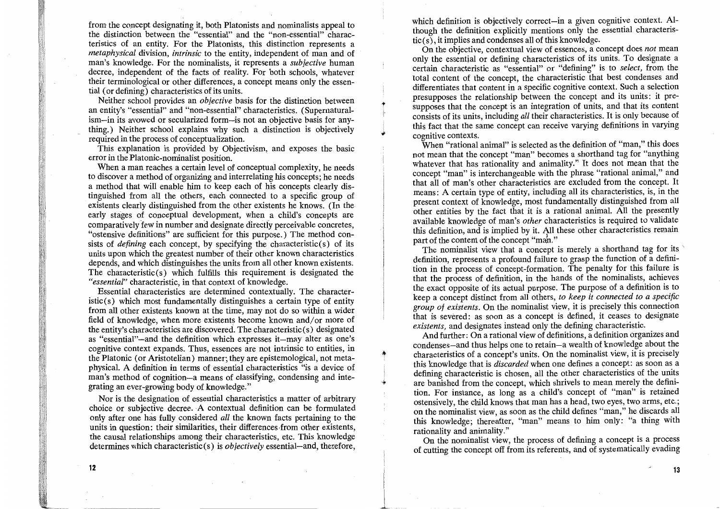from the concept designating it, both Platonists and nominalists appeal to the distinction between the "essential" and the "non-essential" characteristics of an entity. For the Platonists, this distinction represents a *metaphysical division, intrinsic to the entity, independent of man and of* man's knowledge. For the nominalists, it represents a *subjective* human decree, independent of the facts of reality. For both schools, whatever their terminological or other differences, a concept means only the essential (or defimng) characteristics of its units.

Neither school provides an *objective* basis for the distinction between an entity's "essential" and "non-essential" characteristics. (Supernaturalism-in its avowed or secularized form-is not an objective basis for anything.) Neither school explains why such a distinction is objectively required in the process of conceptualization.

This explanation is provided by Objectivism, and exposes the basic error in the Platonic-nominalist position.

When a man reaches a certain level of conceptual complexity, he needs to discover a method of organizing and interrelating his concepts; he needs a method that will enable him to keep each of his concepts clearly distinguished from all the others, each connected to a specific group of existents clearly distinguished from the other existents he knows. (In the early stages of conceptual development, when a child's concepts are comparatively few in number and designate directly perceivable concretes, "ostensive definitions" are sufficient for this purpose.) The method consists of *defining* each concept, by specifying the characteristic(s) of its units upon which the greatest number of their other known characteristics depends, and which distinguishes the units from all other known existents. The characteristic (s) which fulfills this requirement is designated the *"essential"* characteristic, in that context of knowledge.

Essential characteristics are determined contextually. The character- $\text{istic}(s)$  which most fundamentally distinguishes a certain type of entity from all other existents known at the time, may not do so within a wider field of knowledge, when more existents become known and/or more of the entity's characteristics are discovered. The characteristic (s) designated as "essential"-and the definition which expresses it-may alter as one's cognitive context expands. Thus, essences are not intrinsic to entities, in the Platonic (or Aristotelian) manner; they are epistemological, not metaphysical. A definition in terms of essential characteristics "is a device of man's method of cognition-a means of classifying, condensing and integrating an ever-growing body of knowledge."

Nor is the designation of essential characteristics a matter of arbitrary choice or subjective decree. A contextual definition can be formulated only after one has fully considered *all* the known facts pertaining to the units in question: their similarities, their differences from other existents, the causal relationships among their characteristics, etc. This knowledge determines which characteristic(s) is *objectively* essential-and, therefore,

which definition is objectively correct-in a given cognitive context. Although the definition explicitly mentions only the essential characteristic (s), it implies and condenses all of this knowledge.

On the objective, contextual view of essences, a concept does *not* mean only the essential or defining characteristics of its units. To designate a certain characteristic as "essential" or "defining" is to *select,* from the total content of the concept, the characteristic that best condenses and differentiates that content in a specific cognitive context. Such a selection presupposes the relationship between the concept and its units: it presupposes that the concept is an integration of units, and that its content consists of its units, including *all* their characteristics. It is only because of this fact that the same concept can receive varying definitions in varying cognitive contexts.

When "rational animal" is selected as the definition of "man," this does not mean that the concept "man" becomes a shorthand tag for "anything whatever that has rationality and animality." It does not mean that the concept "man" is interchangeable with the phrase "rational animal," and that all of man's other characteristics are excluded from the concept. It means: A certain type of entity, including all its characteristics, is, in the present context of knowledge, most fundamentally distinguished from all other entities by the fact that it is a rational animal. All the presently available knowledge of man's *other* characteristics is required to validate this definition; and is implied by it. All these other characteristics remain part of the content of the concept "mah."

The nominalist view that a concept is merely a shorthand tag for its definition, represents a profound failure to grasp the function of a definition in the process of concept-formation. The penalty for this failure is that the process of definition, in the hands of the nominalists, achieves the exact opposite of its actual purpose. The purpose of a definition is to keep a concept distinct from all others, *to keep it connected to a specific group of existents.* On the nominalist view, it is precisely this connection that is severed: as soon as a concept is defined, it ceases to designate *existents,* and designates instead only the defining characteristic.

And further: On a rational view of definitions, a definition organizes and condenses-and thus helps one to retain-a wealth of knowledge about the characteristics of a concept's units. On the nominalist view, it is precisely this knowledge that is *discarded* when one defines a concept: as soon as a defining characteristic is chosen, all the other characteristics of the units are banished from the concept, which shrivels to mean merely the definition. For instance, as long as a child's concept of "man" is retained ostensively, the child knows that man has a head, two eyes, two arms, etc.; on the nominalist view, as soon as the child defines "man," he discards all this knowledge; thereafter, "man" means to him only: "a thing with rationality and animality."

On the nominalist view, the process of defining a concept is a process of cutting the concept off from its referents, and of systematically evading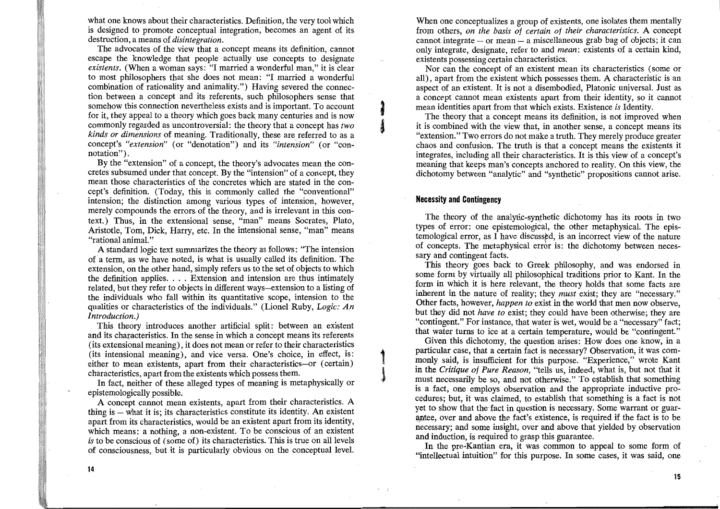what one knows about their characteristics. Definition, the very tool which is designed to promote conceptual integration, becomes an agent of its destruction, a means of *disintegration.* 

The advocates of the view that a concept means its definition, cannot escape the knowledge that people actually use concepts to designate *existents.* (When a woman says: "I married a wonderful man," it is clear to most philosophers that she does not mean: "I married a wonderful combination of rationality and animality.") Having severed the connection between a concept and its referents, such philosophers sense that somehow this connection nevertheless exists and is important. To account for it, they appeal to a theory which goes back many centuries and is now commonly regarded as uncontroversial: the theory that a concept has *two kinds or dimensions* of meaning. Traditionally, these are referred to as a concept's *"extension"* (or "denotation") and its *"intension"* (or "connotation").

By the "extension" of a concept, the theory's advocates mean the concretes subsumed under that concept. By the "intension" of a concept, they mean those characteristics of the concretes which are stated in the concept's definition. (Today, this is commonly called the "conventional" intension; the distinction among various types of intension, however, merely compounds the errors of the theory, and is irrelevant in this context.) Thus, in the extensional sense, "man" means Socrates, Plato, Aristotle, Tom, Dick, Harry, etc. In the intensional sense, "man" means "rational animal."

A standard logic text summarizes the theory as follows: "The intension of a term, as we have noted, is what is usually called its definition. The extension, on the other hand, simply refers us to the set of objects to which the definition applies. . . . Extension and intension are thus intimately related, but they refer to objects in different ways-extension to a listing of the individuals who fall within its quantitative scope, intension to the qualities or characteristics of the individuals." (Lionel Ruby, *Logic: An Introduction.)* 

This theory introduces another artificial split: between an existent and its characteristics. In the sense in which a concept means its referents (its extensional meaning), it does not mean or refer to their characteristics (its intensional meaning), and vice versa. One's choice, in effect, is: either to mean existents, apart from their characteristics-or (certain) characteristics, apart from the existents which possess them.

In fact, neither of these alleged types of meaning is metaphysically or epistemologically possible.

A concept cannot mean existents, apart from their characteristics. A thing is  $-$  what it is; its characteristics constitute its identity. An existent apart from its characteristics, would be an existent apart from its identity, which means: a nothing, a non-existent. To be conscious of an existent *is* to be conscious of (some of) its characteristics. This is true on all levels of consciousness, but it is particularly obvious on the conceptual level.

When one conceptualizes a group of existents, one isolates them mentally from others, *on the basis of certain of their characteristics.* A concept cannot integrate  $-$  or mean  $-$  a miscellaneous grab bag of objects; it can only integrate, designate, refer to and *mean:* existents of a certain kind, existents possessing certain characteristics.

Nor can the concept of an existent mean its characteristics (some or all), apart from the existent which possesses them. A characteristic is an aspect of an existent. It is not a disembodied, Platonic universal. Just as a concept cannot mean existents apart from their identity, so it cannot mean identities apart from that which exists. Existence *is* Identity.

The theory that a concept means its definition, is not improved when it is combined with the view that, in another sense, a concept means its "extension." Two errors do not make a truth. They merely produce greater chaos and confusion. The truth is that a concept means the existents it integrates, including all their characteristics. It is this view of a concept's meaning that keeps man's concepts anchored to reality. On this view, the dichotomy between "analytic" and "synthetic" propositions cannot arise.

#### **Necessity and Contingency**

1

J

The theory of the analytic-synthetic dichotomy has its roots in two types of error: one epistemological, the other metaphysical. The epistemological error, as  $\overline{I}$  have discussed, is an incorrect view of the nature of concepts. The metaphysical error is: the dichotomy between necessary and contingent facts.

This theory goes back to Greek philosophy, and was endorsed in some form by virtually all philosophical traditions prior to Kant. In the form in which it is here relevant, the theory holds that some facts are inherent in the nature of reality; they *must* exist; they are "necessary." Other facts, however, *happen to* exist in the world that men now observe, but they did not *have to* exist; they could have been otherwise; they are "contingent." For instance, that water is wet, would be a "necessary" fact; that water turns to ice at a certain temperature, would be "contingent."

Given this dichotomy, the question arises: How does one know, in a particular case, that a certain fact is necessary? Observation, it was commonly said, is insufficient for this purpose. "Experience," wrote Kant in the *Critique of Pure Reason,* "tells us, indeed, what is, but not that it must necessarily be so, and not otherwise." To establish that something is a fact, one employs observation and the appropriate inductive procedures; but, it was claimed, to establish that something is a fact is not yet to show that the fact in question is necessary. Some warrant or guarantee, over and above the fact's existence, is required if the fact is to be necessary; and some insight, over and above that yielded by observation and induction, is required to grasp this guarantee.

In the pre-Kantian era, it was common to appeal to some form of "intellectual intuition" for this purpose. In some cases, it was said, one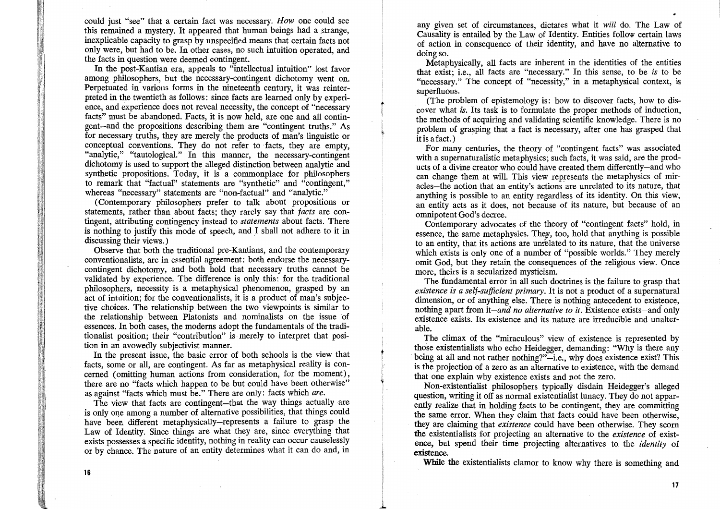could just "see" that a certain fact was necessary. *How* one could see this remained a mystery. It appeared that human beings had a strange, inexplicable capacity to grasp by unspecified means that certain facts not only were, but had to be. In other cases, no such intuition operated, and the facts in question were deemed contingent.

In the post-Kantian era, appeals to "intellectual intuition" lost favor among philosophers, but the necessary-contingent dichotomy went on. Perpetuated in various forms in the nineteenth century, it was reinterpreted in the twentieth as follows: since facts are learned only by experience, and experience does not reveal necessity, the concept of "necessary facts" must be abandoned. Facts, it is now held, are one and all contingent-and the propositions describing them are "contingent truths." As for necessary truths, they are merely the products of man's linguistic or conceptual conventions. They do not refer to facts, they are empty, "analytic," "tautological." In this manner, the necessary-contingent dichotomy is used to support the alleged distinction between analytic and synthetic propositions. Today, it is a commonplace for philosophers to remark that "factual" statements are "synthetic" and "contingent," whereas "necessary" statements are "non-factual" and "analytic."

( Contemporary philosophers prefer to talk about propositions or statements, rather than about facts; they rarely say that *facts* are contingent, attributing contingency instead to *statements* about facts. There is nothing to justify this mode of speech, and I shall not adhere to it in discussing their views.)

Observe that both the traditional pre-Kantians, and the contemporary conventionalists, are in essential agreement: both endorse the necessarycontingent dichotomy, and both hold that necessary truths cannot be validated by experience. The difference is only this: for the traditional philosophers, necessity is a metaphysical phenomenon, grasped by an act of intuition; for the conventionalists, it is a product of man's subjective choices. The relationship between the two viewpoints is similar to the relationship between Platonists and nominalists on the issue of essences. In both cases, the moderns adopt the fundamentals of the traditionalist position; their "contribution" is· merely to interpret that position in an avowedly subjectivist manner.

In the present issue, the basic error of both schools is the view that facts, some or all, are contingent. As far as metaphysical reality is concerned (omitting human actions from consideration, for the moment), there are no "facts which happen to be but could have been otherwise" as against "facts which must be." There are only: facts which *are*.

The view that facts are contingent-that the way things actually are is only one among a number of alternative possibilities, that things could have been different metaphysically—represents a failure to grasp the Law of Identity. Since things are what they are, since everything that exists possesses a specific identity, nothing in reality can occur causelessly or by chance. The nature of an entity determines what it can do and, in

any given set of circumstances, dictates what it *will* do. The Law of Causality is entailed by the Law of Identity. Entities follow certain laws of action in consequence of their identity, and have no alternative to doing so.

Metaphysically, all facts are inherent in the identities of the entities that exist; i.e., all facts are "necessary." In this sense, to be *is* to be "necessary." The concept of "necessity," in a metaphysical context, is superfluous.

(The problem of epistemology is: how to discover facts, how to discover what *is.* Its task is to formulate the proper methods of induction, the methods of acquiring and validating scientific knowledge. There is no problem of grasping that a fact is necessary, after one has grasped that it is a fact. )

For many centuries, the theory of "contingent facts" was associated with a supernaturalistic metaphysics; such facts, it was said, are the products of a divine creator who could have created them differently-and who can change them at will. This view represents the metaphysics of miracles-the notion that an entity's actions are unrelated to its nature, that anything is possible to an entity regardless of its identity. On this view, an entity acts as it does, not because of its nature, but because of an omnipotent God's decree.

Contemporary advocates of the theory of "contingent facts" hold, in essence, the same metaphysics. Thew, too, hold that anything is possible to an entity, that its actions are unrelated to its nature, that the universe which exists is only one of a number of "possible worlds." They merely omit God, but they retain the consequences of the religious view. Once more, theirs is a secularized mysticism.

The fundamental error in all such doctrines is the failure to grasp that *existence is a self-sufficient primary.* It is not a product of a supernatural dimension, or of anything else. There is nothing antecedent to existence, nothing apart from *it-and no alternative to* it. Existence exists-and only existence exists. Its existence and its nature are irreducible and unalterable.

The climax of the "miraculous" view of existence is represented by those existentialists who echo Heidegger, demanding: "Why is there any being at all and not rather nothing?"-i.e., why does existence exist? This is the projection of a zero as an alternative to existence, with the demand that one explain why existence exists and not the zero.

Non-existentialist philosophers typically disdain Heidegger's alleged question, writing it off as normal existentialist lunacy. They do not apparently realize that in holding facts to be contingent, they are committing the same error. When they claim that facts could have been otherwise, they are claiming that *existence* could have been otherwise. They scorn the existentialists for projecting an alternative to the *existence* of existence, but spend their time projecting alternatives to. the *identity* of existence.

While the existentialists clamor to know why there is something and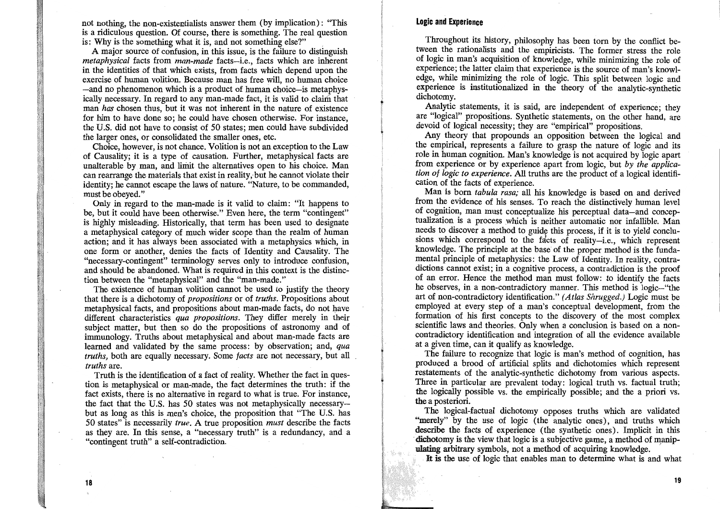not nothing, the non-existentialists answer them (by implication): "This is a ridiculous question. Of course, there is something. The real question is: Why is the something what it is, and not something else?"

A major source of confusion, in this issue, is the failure to distinguish *metaphysical* facts from *man-made* facts-i.e., facts which are inherent in the identities of that which exists, from facts which depend upon the exercise of human volition. Because man has free will, no human choice -and no phenomenon which is a product of human choice-is metaphysically necessary. In regard to any man-made fact, it is valid to claim that man *has* chosen thus, but it was not inherent in the nature of existence for him to have done so; he could have chosen otherwise. For instance, the U.S. did not have to consist of 50 states; men could have subdivided the larger ones, or consolidated the smaller ones, etc.

Choice, however, is not chance. Volition is not an exception to the Law of Causality; it is a type of causation. Further, metaphysical facts are unalterable by man, and limit the alternatives open to his choice. Man can rearrange the materials that exist in reality, but he cannot violate their identity; he cannot escape the laws of nature. "Nature, to be commanded, must be obeyed."

Only in regard to the man-made is it valid to claim: "It happens to be, but it could have been otherwise." Even here, the term "contingent" is highly misleading. Historically, that term has been used to designate a metaphysical category of much wider scope than the realm of human action; and it has always been associated with a metaphysics which, in one form or another, denies the facts of Identity and Causality. The "necessary-contingent" terminology serves only to introduce confusion, and should be abandoned. What is required in this context is the distinction between the "metaphysical" and the "man-made."

The existence of human volition cannot be used to justify the theory that there is a dichotomy of *propositions* or of *truths.* Propositions about metaphysical facts, and propositions about man-made facts, do not have different characteristics *qua propositions.* They differ merely in their subject matter, but then so do the propositions of astronomy and of immunology. Truths about metaphysical and about man-made facts are learned and validated by the same process: by observation; and, *qua truths,* both are equally necessary. Some *facts* are not necessary, but all *truths* are.

Truth is the identification of a fact of reality. Whether the fact in question is metaphysical or man-made, the fact determines the truth: if the fact exists, there is no alternative in regard to what is true. For instance, the fact that the U.S. has 50 states was not metaphysically necessarybut as long as this is men's choice, the proposition that "The U.S. has 50 states" is necessarily *true.* A true proposition *must* describe the facts as they are. In this sense, a "necessary truth" is a redundancy, and a "contingent truth" a self-contradiction.

## **Logic and Experience**

Throughout its history, philosophy has been torn by the conflict between the rationalists and the empiricists. The former stress the role of logic in man's acquisition of knowledge, while minimizing the role of experience; the latter claim that experience is the source of man's knowledge, while minimizing the role of logic. This split between logic and experience is institutionalized in the theory of the analytic-synthetic dichotomy.

Analytic statements, it is said, are independent of experience; they are "logical" propositions. Synthetic statements, on the other hand, are devoid of logical necessity; they are "empirical" propositions.

Any theory that propounds an opposition between the logical and the empirical, represents a failure to grasp the nature of logic and its role in human cognition. Man's knowledge is not acquired by logic apart from experience or by experience apart from logic, but *by the application of logic to experience.* All truths are the product of a logical identification of the facts of experience.

Man is born *tabula rasa;* all his knowledge is based on and derived from the evidence of his senses. To reach the distinctively human level of cognition, man must conceptualize his perceptual data-and conceptualization is a process which is neither automatic nor infallible. Man needs to discover a method to guide this process, if it is to yield conclusions which correspond to the fdcts of reality-i.e., which represent knowledge. The principle at the base of the proper method is the fundamental principle of metaphysics: the Law of Identity. In reality, contradictions cannot exist; in a cognitive process, a contradiction is the proof of an error. Hence the method man must follow: to identify the facts he observes, in a non-contradictory manner. This method is logic-"the art of non-contradictory identification." *(Atlas Shrugged.)* Logic must be employed at every step of a man's conceptual development, from the formation of his first concepts to the discovery of the most complex scientific laws and theories. Only when a conclusion is based on a noncontradictory identification and integration of all the evidence available at a given time, can it qualify as knowledge.

The failure to recognize that logic is man's method of cognition, has produced a brood of artificial splits and dichotomies which represent restatements of the analytic-synthetic· dichotomy from various aspects. Three in particular are prevalent today: logical truth vs. factual truth; the logically possible vs. the empirically possible; and the a priori vs. the a posteriori.

The logical-factual dichotomy opposes truths which are validated "merely" by the use of logic (the analytic ones), and truths which describe the facts of experience (the synthetic ones). Implicit in this dichotomy is the view that logic is a subjective game, a method of manipulating arbitrary symbols, not a method of acquiring knowledge.

It is the use of logic that enables man to determine what is and what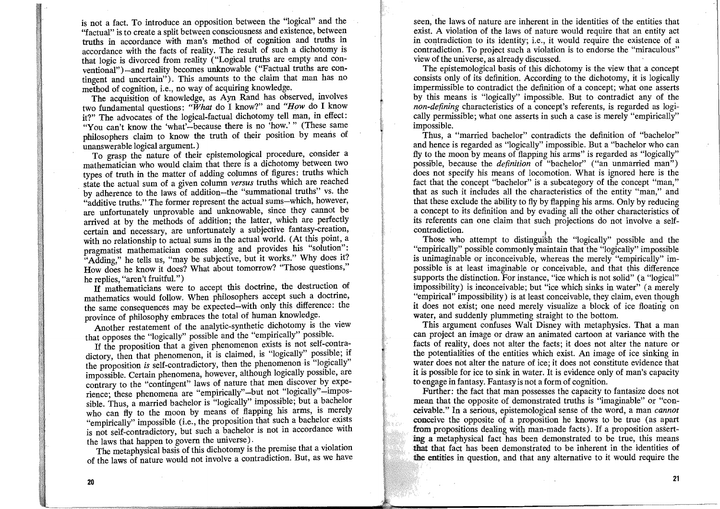is not a fact. To introduce an opposition between the "logical" and the "factual" is to create a split between consciousness and existence, between truths in accordance with man's method of cognition and truths in accordance with the facts of reality. The result of such a dichotomy is that logic is divorced from reality ("Logical truths are empty and conventional")-and reality becomes unknowable ("Factual truths are contingent and uncertain"). This amounts to the claim that man has no method of cognition, i.e., no way of acquiring knowledge.

The acquisition of knowledge, as Ayn Rand has observed, involves two fundamental questions: *"What* do I know?" and *"How* do I know it?" The advocates of the logical-factual dichotomy tell man, in effect: "You can't know the 'what'-because there is no 'how.'" (These same philosophers claim to know the truth of their position by means of unanswerable logical argument.)

To grasp the nature of their epistemological procedure, consider a mathematician who would claim that there is a dichotomy between two types of truth in the matter of adding columns of figures: truths which state the actual sum of a given column *versus* truths which are reached . by adherence to the laws of addition-the "summational truths" vs. the "additive truths." The former represent the actual sums-which, however, additive truths. The former represent the actual sums—which, however, re unfortunately unprovable and unknowable, since they cannot be certain and networks of addition, the fatter, which are perfectly ertain and necessary, are unioriunality a subjective randay-element, with no relationship to actual sums in the actual world. (At this point, a pragmatist mathematician comes along and provides his "solution": ragmatist mainemalicial comes along and provides in solution. Adding," he tells us, "may be subjective, but it works. Why does it:<br> $\frac{1}{2}$  and  $\frac{1}{2}$  are it does? What about tomorrow? "Those questions," arrived at by the methods of addition; the latter, which are perfectly certain and necessary, are unfortunately a subjective fantasy-creation, with no relationship to actual sums in the actual world. (At this point, a prag

mathematics would follow. When philosophers accept such a doctrine, nathematics would follow. Wilell pluiosophicis accept such a doctrine, pe same consequences may be expected—with only this different province of philosophy embraces the total of human knowledge.<br>Another restatement of the analytic-synthetic dichotomy is the view

Another restatement of the analytic-symmetry dictionary is the " If opposes the "logically" possible and the "empirically" possible.<br>Let's not self-contra-

If the proposition that a given phenomenon exists is not self-contra-<br>dictory, then that phenomenon, it is claimed, is "logically" possible; if  $t$  is claimed, is  $\log t$  possess). The proposition  $t$  is  $\log t$  is  $\log t$  is  $\log t$  is  $\log t$  is  $\log t$  is  $\log t$  is  $\log t$  is  $\log t$  is  $\log t$  is  $\log t$  is  $\log t$  is  $\log t$  is  $\log t$  is  $\log t$  is  $\log t$  is  $\log t$  is  $\log t$  is  $\log t$  is he proposition *is* self-contradictory, then the phenomenon is regionally processible, are impossible. Certain phenomena, however, although logically possible, are contrary to the "contingent" laws of nature that men discover by experience; these phenomena are "empirically"-but not "logically"-impos- $\frac{1}{2}$  mese phenomena are empirically  $\frac{1}{2}$  but not regionally  $\frac{1}{2}$  meses  $m_{\text{E}}$ . Thus, a married backet is negleally impossible, but a backet is merely who can fly to the moon by means of flapping his arms, is merely "empirically" impossible (i.e., the proposition that such a bachelor exists empirically impossible (i.e., the proposition that such a bachelor embody The can fly to the moon by means of flapping his arms, is merely empirically" impossible (i.e., the proposition that such a bachelor exists a not self-contradictory, but such a bachelor is not in accordance with the laws t The metaphysical basis of the metaphysical basis of the preceding that a violation

The metaphysical basis of this dictionary is the premise that a violation.

seen, the laws. of nature are inherent in the identities of the entities that exist. A violation of the laws of nature would require that an entity act in contradiction to its identity; i.e., it would require the existence of a contradiction. To project such a violation is to endorse the "miraculous" view of the universe, as already discussed.

The epistemological basis of this dichotomy is the view that a concept consists only of its definition. According to the dichotomy, it is logically impermissible to contradict the definition of a concept; what one asserts by this means is "logically" impossible. But to contradict any of the *non-defining* characteristics of a concept's referents, is regarded as logically permissible; what one asserts in such a case is merely "empirically" impossible.

Thus, a "married bachelor" contradicts the definition of "bachelor" regions and indirect bachelor contradicts the definition of bachelor  $\mathbf{u}_0$  $\frac{1}{2}$  fluit to the moon by means of flamping his arms" is regarded as "logically" fly to the moon by means of flapping his arms" is regarded as "logically" possible, because the *definition* of "bachelor" ("an unmarried man")  $\alpha$  does not specify his means of locomotion. What is ignored here is the for  $\frac{1}{2}$  fact the concept "background" is a subcategory of the concept "man," fact that the concept "bachelor" is a subcategory of the concept "man," that as such it includes all the characteristics of the entity "man," and that these exclude the ability to fly by flapping his arms. Only by reducing a concept to its definition and by evading all the other characteristics of it concept to its definition and by evading an the other characteristics of contradiction. contradiction.<br>Those who attempt to distinguity the "logically" possible and the

"empirically" possible commonly maintain that the "logically" impossible is unimaginable or inconceivable, whereas the merely "empirically" imis unimaginable or inconceivable, whereas the merely "empirically" impossible is at least imaginable or conceivable, and that this difference ressive is at least imaginable of conceivable, and that this difference.<br>upports the distinction. For instance, "ice which is not solid" (a "logical")  $\mu$ possibility) is inconceivable; but "ice which sinks in water" (a noglear morely  $\mu$  empirical" impossibility) is at least conceivable, they claim, even though  $\mu$ it does not exist; one need merely visualize a block of ice floating on it does not exist; one need merely visualize a block of ice floating on water, and suddenly plummeting straight to the bottom. This argument confuses Walt Disney with metaphysics. That a man

can project an image or draw an animated cartoon at variance with the can project an image or draw an animated cartoon at variance with the facts of reality, does not alter the facts; it does not alter the nature or the potentialities of the entities which exist. An image of ice sinking in water does not alter the nature of ice; it does not constitute evidence that it is possible for ice to sink in water. It is evidence only of man's capacity to engage in fantasy. Fantasy is not a form of cognition.

ngage in famasy. Famasy is not a form of cognition.<br>Insthant the fact that man possesses the capacity to fantasize does not mean that the opposite of demonstrated truths is "imaginable" or "conceivable." In a serious, epistemological sense of the word, a man *cannot*  civable. The serious, epistemological sense of the word, a man cumor conceive the opposite of a proposition he knows to be true (as apart from propositions dealing with man-made facts). If a proposition asserting a metaphysical fact has been demonstrated to be true, this means that that fact has been demonstrated to be inherent in the identities of the entities in question, and that any alternative to it would require the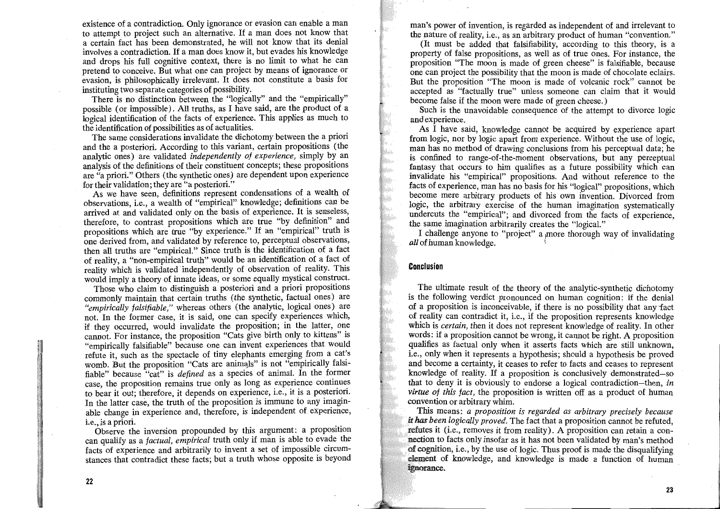existence of a contradiction. Only ignorance or evasion can enable a man to attempt to project such an alternative. If a man does not know that a certain fact has been demonstrated, he will not know that its denial involves a contradiction. If a man does know it, but evades his knowledge and drops his full cognitive context, there is no limit to what he can pretend to conceive. But what one can project by means of ignorance or evasion, is philosophically irrelevant. It does not constitute a basis for instituting two separate categories of possibility.

There is no distinction between the "logically" and the "empirically" possible (or impossible). All truths, as I have said, are the product of a logical identification of the facts of experience. This applies as much to the identification of possibilities as of actualities.

The same considerations invalidate the dichotomy between the a priori and the a posteriori. According to this variant, certain propositions (the analytic ones) are validated *independently of experience,* simply by an analysis of the definitions of their constituent concepts; these propositions are "a priori." Others (the synthetic ones) are dependent upon experience for their validation; they are "a posteriori."

As we have seen, definitions represent condensations of a wealth of observations, i.e., a wealth of "empirical" knowledge; definitions can be arrived at and validated only on the basis of experience. It is senseless, therefore, to contrast propositions which are true "by definition" and propositions which are true "by experience." If an "empirical" truth is one derived from, and validated by reference to, perceptual observations, then all truths are "empirical." Since truth is the identification of a fact of reality, a "non-empirical truth" would be an identification of a fact of reality which is validated independently of observation of reality. This would imply a theory of innate ideas, or some equally mystical construct.

Those who claim to distinguish a posteriori and a priori propositions commonly maintain that certain truths (the synthetic, factual ones) are *"empirically falsifiable,"* whereas others (the analytic, logical ones) are not. In the former case, it is said, one can specify experiences which, if they occurred, would invalidate the proposition; in the latter, one cannot. For instance, the proposition "Cats give birth only to kittens" is "empirically falsifiable" because one can invent experiences that would refute it, such as the spectacle of tiny elephants emerging from a cat's womb. But the proposition "Cats are animals" is not "empirically falsifiable" because "cat" is *defined* as a species of animal. In the former case, the proposition remains true only as long as experience continues to bear it out; therefore, it depends on experience, i.e., it is a posteriori.<br>In the latter case, the truth of the proposition is immune to any imaginable change in experience and, therefore, is independent of experience,

i.e., is a priori.<br>Observe the inversion propounded by this argument: a proposition can qualify as a *factual, empirical* truth only if man is able to evade the facts of experience and arbitrarily to invent a set of impossible circumstances that contradict these facts; but a truth whose opposite is beyond man's power of invention, is regarded as independent of and irrelevant to the nature of reality, i.e., as an arbitrary product of human "convention."

(It must be added that falsifiability, according to this theory, is a property of false propositions, as well as of true ones. For instance, the proposition "The moon is made of green cheese" is falsifiable, because one can project the possibility that the moon is made of chocolate eclairs. But the proposition "The moon is made of volcanic rock" cannot be accepted as "factually true" unless someone can claim that it would become false if the moon were made of green cheese.)

Such is the unavoidable consequence of the attempt to divorce logic and experience.

As I have said, knowledge cannot be acquired by experience apart from logic, nor by logic apart from experience. Without the use of logic, man has no method of drawing conclusions from his perceptual data; he is confined to range-of-the-moment observations, but any perceptual fantasy that occurs to him qualifies as a future possibility which can invalidate his "empirical" propositions. And without reference to the facts of experience, man has no basis for his "logical" propositions, which become mere arbitrary products of his own invention. Divorced from logic, the arbitrary exercise of the human imagination systematically undercuts the "empirical"; and divorced from the facts of experience, the same imagination arbitrarily creates the "logical."

I challenge anyone to "project" a more thorough way of invalidating *all* of human knowledge.

### **Conclusion**

W íş., )<br>Monte in. .<br>Maria 19 ). Mari **M** 

ķ.

The ultimate result of the theory of the analytic-synthetic dichotomy is the following verdict pronounced on human cognition: if the denial of a proposition is inconceivable, if there is no possibility that any fact of reality can contradict it, i.e., if the proposition represents knowledge which is *certain*, then it does not represent knowledge of reality. In other words: if a proposition cannot be wrong, it cannot be right. A proposition qualifies as factual only when it asserts facts which are still unknown, ie., only when it represents a hypothesis; should a hypothesis be proved and become a certainty, it ceases to refer to facts and ceases to represent knowledge of reality. If a proposition is conclusively demonstrated-so that to deny it is obviously to endorse a logical contradiction-then, *in virtue of this fact,* the proposition is written off as a product of human convention or arbitrary whim.

This means: *a proposition is regarded as arbitrary precisely because it has been logically proved.* The fact that a proposition cannot be refuted, refutes it (i.e., removes it from reality). A proposition can retain a connection to facts only insofar as it has not been validated by man's method of cognition, i.e., by the use of logic. Thus proof is made the disqualifying element of knowledge, and knowledge is made a function of human ignorance.